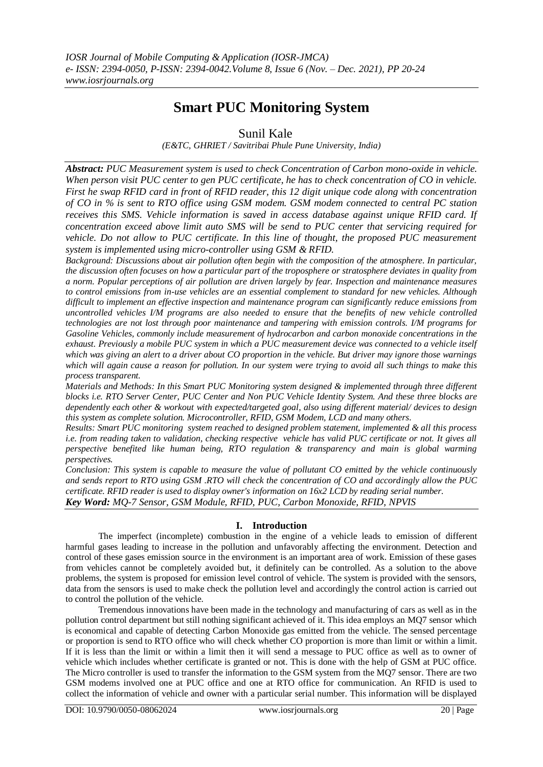# **Smart PUC Monitoring System**

## Sunil Kale

*(E&TC, GHRIET / Savitribai Phule Pune University, India)* 

*Abstract: PUC Measurement system is used to check Concentration of Carbon mono-oxide in vehicle. When person visit PUC center to gen PUC certificate, he has to check concentration of CO in vehicle. First he swap RFID card in front of RFID reader, this 12 digit unique code along with concentration of CO in % is sent to RTO office using GSM modem. GSM modem connected to central PC station receives this SMS. Vehicle information is saved in access database against unique RFID card. If concentration exceed above limit auto SMS will be send to PUC center that servicing required for vehicle. Do not allow to PUC certificate. In this line of thought, the proposed PUC measurement system is implemented using micro-controller using GSM & RFID.*

*Background: Discussions about air pollution often begin with the composition of the atmosphere. In particular, the discussion often focuses on how a particular part of the troposphere or stratosphere deviates in quality from a norm. Popular perceptions of air pollution are driven largely by fear. Inspection and maintenance measures to control emissions from in-use vehicles are an essential complement to standard for new vehicles. Although difficult to implement an effective inspection and maintenance program can significantly reduce emissions from uncontrolled vehicles I/M programs are also needed to ensure that the benefits of new vehicle controlled technologies are not lost through poor maintenance and tampering with emission controls. I/M programs for Gasoline Vehicles, commonly include measurement of hydrocarbon and carbon monoxide concentrations in the exhaust. Previously a mobile PUC system in which a PUC measurement device was connected to a vehicle itself which was giving an alert to a driver about CO proportion in the vehicle. But driver may ignore those warnings which will again cause a reason for pollution. In our system were trying to avoid all such things to make this process transparent.*

*Materials and Methods: In this Smart PUC Monitoring system designed & implemented through three different blocks i.e. RTO Server Center, PUC Center and Non PUC Vehicle Identity System. And these three blocks are dependently each other & workout with expected/targeted goal, also using different material/ devices to design this system as complete solution. Microcontroller, RFID, GSM Modem, LCD and many others.*

*Results: Smart PUC monitoring system reached to designed problem statement, implemented & all this process i.e. from reading taken to validation, checking respective vehicle has valid PUC certificate or not. It gives all perspective benefited like human being, RTO regulation & transparency and main is global warming perspectives.* 

*Conclusion: This system is capable to measure the value of pollutant CO emitted by the vehicle continuously and sends report to RTO using GSM .RTO will check the concentration of CO and accordingly allow the PUC certificate. RFID reader is used to display owner's information on 16x2 LCD by reading serial number. Key Word: MQ-7 Sensor, GSM Module, RFID, PUC, Carbon Monoxide, RFID, NPVIS*

## **I. Introduction**

The imperfect (incomplete) combustion in the engine of a vehicle leads to emission of different harmful gases leading to increase in the pollution and unfavorably affecting the environment. Detection and control of these gases emission source in the environment is an important area of work. Emission of these gases from vehicles cannot be completely avoided but, it definitely can be controlled. As a solution to the above problems, the system is proposed for emission level control of vehicle. The system is provided with the sensors, data from the sensors is used to make check the pollution level and accordingly the control action is carried out to control the pollution of the vehicle.

Tremendous innovations have been made in the technology and manufacturing of cars as well as in the pollution control department but still nothing significant achieved of it. This idea employs an MQ7 sensor which is economical and capable of detecting Carbon Monoxide gas emitted from the vehicle. The sensed percentage or proportion is send to RTO office who will check whether CO proportion is more than limit or within a limit. If it is less than the limit or within a limit then it will send a message to PUC office as well as to owner of vehicle which includes whether certificate is granted or not. This is done with the help of GSM at PUC office. The Micro controller is used to transfer the information to the GSM system from the MQ7 sensor. There are two GSM modems involved one at PUC office and one at RTO office for communication. An RFID is used to collect the information of vehicle and owner with a particular serial number. This information will be displayed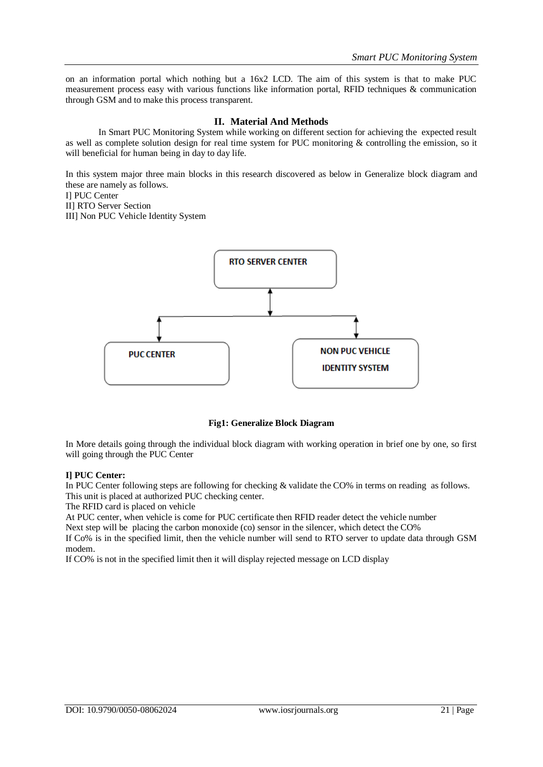on an information portal which nothing but a 16x2 LCD. The aim of this system is that to make PUC measurement process easy with various functions like information portal, RFID techniques & communication through GSM and to make this process transparent.

## **II. Material And Methods**

In Smart PUC Monitoring System while working on different section for achieving the expected result as well as complete solution design for real time system for PUC monitoring & controlling the emission, so it will beneficial for human being in day to day life.

In this system major three main blocks in this research discovered as below in Generalize block diagram and these are namely as follows.

I] PUC Center

II] RTO Server Section

III] Non PUC Vehicle Identity System



### **Fig1: Generalize Block Diagram**

In More details going through the individual block diagram with working operation in brief one by one, so first will going through the PUC Center

### **I] PUC Center:**

In PUC Center following steps are following for checking & validate the CO% in terms on reading as follows. This unit is placed at authorized PUC checking center.

The RFID card is placed on vehicle

At PUC center, when vehicle is come for PUC certificate then RFID reader detect the vehicle number

Next step will be placing the carbon monoxide (co) sensor in the silencer, which detect the CO%

If Co% is in the specified limit, then the vehicle number will send to RTO server to update data through GSM modem.

If CO% is not in the specified limit then it will display rejected message on LCD display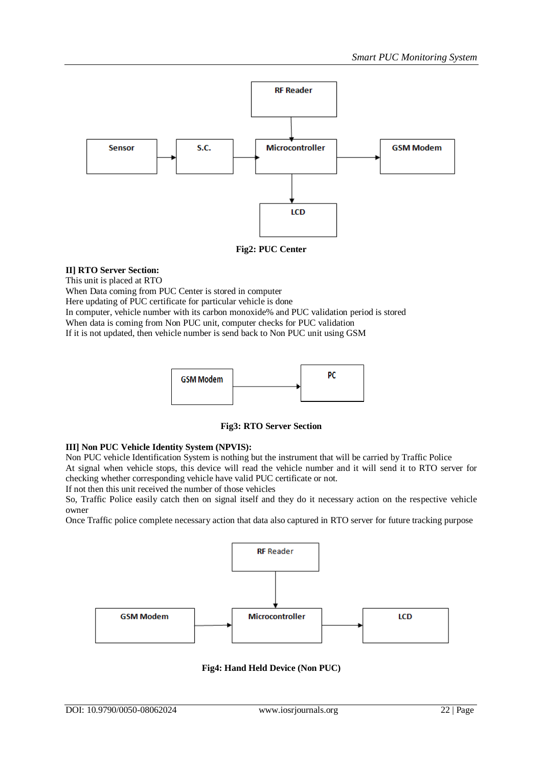

### **Fig2: PUC Center**

### **II] RTO Server Section:**

This unit is placed at RTO

When Data coming from PUC Center is stored in computer

Here updating of PUC certificate for particular vehicle is done

In computer, vehicle number with its carbon monoxide% and PUC validation period is stored

When data is coming from Non PUC unit, computer checks for PUC validation

If it is not updated, then vehicle number is send back to Non PUC unit using GSM



**Fig3: RTO Server Section**

### **III] Non PUC Vehicle Identity System (NPVIS):**

Non PUC vehicle Identification System is nothing but the instrument that will be carried by Traffic Police At signal when vehicle stops, this device will read the vehicle number and it will send it to RTO server for checking whether corresponding vehicle have valid PUC certificate or not.

If not then this unit received the number of those vehicles

So, Traffic Police easily catch then on signal itself and they do it necessary action on the respective vehicle owner

Once Traffic police complete necessary action that data also captured in RTO server for future tracking purpose



**Fig4: Hand Held Device (Non PUC)**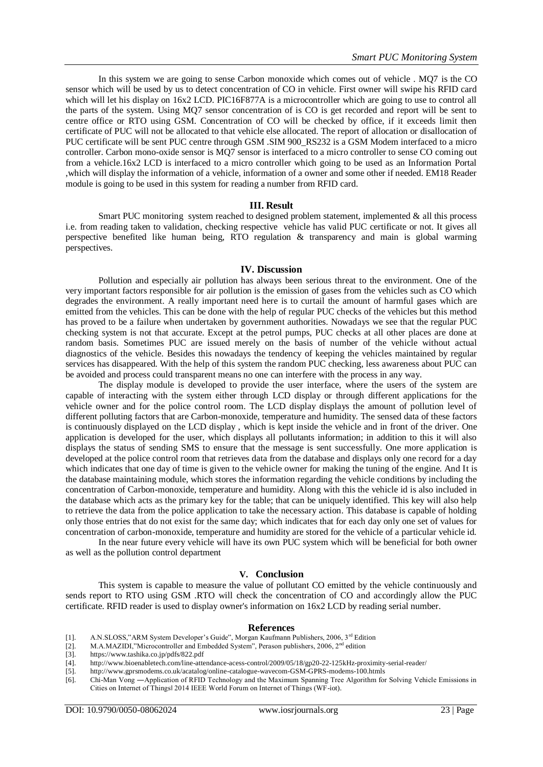In this system we are going to sense Carbon monoxide which comes out of vehicle . MQ7 is the CO sensor which will be used by us to detect concentration of CO in vehicle. First owner will swipe his RFID card which will let his display on 16x2 LCD. PIC16F877A is a microcontroller which are going to use to control all the parts of the system. Using MQ7 sensor concentration of is CO is get recorded and report will be sent to centre office or RTO using GSM. Concentration of CO will be checked by office, if it exceeds limit then certificate of PUC will not be allocated to that vehicle else allocated. The report of allocation or disallocation of PUC certificate will be sent PUC centre through GSM .SIM 900\_RS232 is a GSM Modem interfaced to a micro controller. Carbon mono-oxide sensor is MQ7 sensor is interfaced to a micro controller to sense CO coming out from a vehicle.16x2 LCD is interfaced to a micro controller which going to be used as an Information Portal ,which will display the information of a vehicle, information of a owner and some other if needed. EM18 Reader module is going to be used in this system for reading a number from RFID card.

#### **III. Result**

Smart PUC monitoring system reached to designed problem statement, implemented  $\&$  all this process i.e. from reading taken to validation, checking respective vehicle has valid PUC certificate or not. It gives all perspective benefited like human being, RTO regulation & transparency and main is global warming perspectives.

#### **IV. Discussion**

Pollution and especially air pollution has always been serious threat to the environment. One of the very important factors responsible for air pollution is the emission of gases from the vehicles such as CO which degrades the environment. A really important need here is to curtail the amount of harmful gases which are emitted from the vehicles. This can be done with the help of regular PUC checks of the vehicles but this method has proved to be a failure when undertaken by government authorities. Nowadays we see that the regular PUC checking system is not that accurate. Except at the petrol pumps, PUC checks at all other places are done at random basis. Sometimes PUC are issued merely on the basis of number of the vehicle without actual diagnostics of the vehicle. Besides this nowadays the tendency of keeping the vehicles maintained by regular services has disappeared. With the help of this system the random PUC checking, less awareness about PUC can be avoided and process could transparent means no one can interfere with the process in any way.

The display module is developed to provide the user interface, where the users of the system are capable of interacting with the system either through LCD display or through different applications for the vehicle owner and for the police control room. The LCD display displays the amount of pollution level of different polluting factors that are Carbon-monoxide, temperature and humidity. The sensed data of these factors is continuously displayed on the LCD display , which is kept inside the vehicle and in front of the driver. One application is developed for the user, which displays all pollutants information; in addition to this it will also displays the status of sending SMS to ensure that the message is sent successfully. One more application is developed at the police control room that retrieves data from the database and displays only one record for a day which indicates that one day of time is given to the vehicle owner for making the tuning of the engine. And It is the database maintaining module, which stores the information regarding the vehicle conditions by including the concentration of Carbon-monoxide, temperature and humidity. Along with this the vehicle id is also included in the database which acts as the primary key for the table; that can be uniquely identified. This key will also help to retrieve the data from the police application to take the necessary action. This database is capable of holding only those entries that do not exist for the same day; which indicates that for each day only one set of values for concentration of carbon-monoxide, temperature and humidity are stored for the vehicle of a particular vehicle id.

In the near future every vehicle will have its own PUC system which will be beneficial for both owner as well as the pollution control department

#### **V. Conclusion**

This system is capable to measure the value of pollutant CO emitted by the vehicle continuously and sends report to RTO using GSM .RTO will check the concentration of CO and accordingly allow the PUC certificate. RFID reader is used to display owner's information on 16x2 LCD by reading serial number.

#### **References**

- [1]. A.N.SLOSS,"ARM System Developer's Guide", Morgan Kaufmann Publishers, 2006, 3<sup>rd</sup> Edition
- [2]. M.A.MAZIDI,"Microcontroller and Embedded System", Perason publishers, 2006, 2<sup>nd</sup> edition
- [3]. https://www.tashika.co.jp/pdfs/822.pdf
- [4]. http://www.bioenabletech.com/line-attendance-acess-control/2009/05/18/gp20-22-125kHz-proximity-serial-reader/
- [5]. http://www.gprsmodems.co.uk/acatalog/online-catalogue-wavecom-GSM-GPRS-modems-100.htmls
- [6]. Chi-Man Vong ―Application of RFID Technology and the Maximum Spanning Tree Algorithm for Solving Vehicle Emissions in Cities on Internet of Things‖ 2014 IEEE World Forum on Internet of Things (WF-iot).